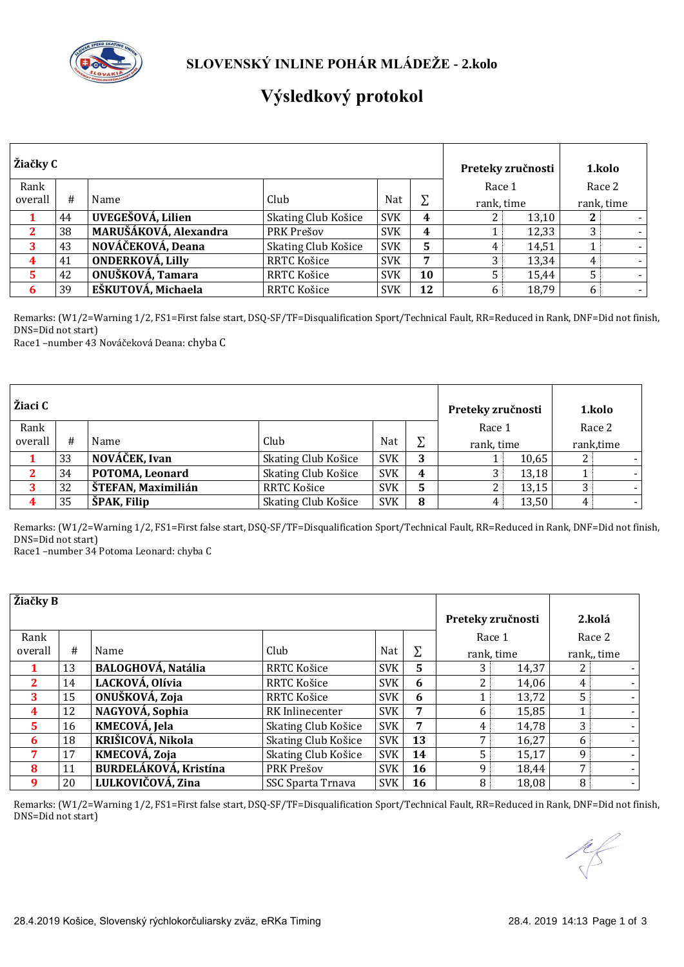

## **Výsledkový protokol**

| Žiačky C |    |                         | Preteky zručnosti   |            |    | 1.kolo     |       |   |            |
|----------|----|-------------------------|---------------------|------------|----|------------|-------|---|------------|
| Rank     |    |                         |                     |            |    | Race 1     |       |   | Race 2     |
| overall  | #  | Name                    | Club                | Nat        | Σ  | rank, time |       |   | rank, time |
|          | 44 | UVEGEŠOVÁ, Lilien       | Skating Club Košice | <b>SVK</b> | 4  |            | 13,10 | 2 |            |
|          | 38 | MARUŠÁKOVÁ, Alexandra   | PRK Prešov          | <b>SVK</b> | 4  |            | 12,33 | 3 |            |
| 3        | 43 | NOVÁČEKOVÁ, Deana       | Skating Club Košice | <b>SVK</b> | 5  | 4          | 14.51 |   |            |
| 4        | 41 | <b>ONDERKOVÁ, Lilly</b> | RRTC Košice         | <b>SVK</b> | 7  |            | 13,34 | 4 |            |
| 5        | 42 | ONUŠKOVÁ, Tamara        | RRTC Košice         | <b>SVK</b> | 10 |            | 15.44 | 5 |            |
| 6        | 39 | EŠKUTOVÁ, Michaela      | RRTC Košice         | <b>SVK</b> | 12 |            | 18,79 | 6 |            |

Remarks: (W1/2=Warning 1/2, FS1=First false start, DSQ-SF/TF=Disqualification Sport/Technical Fault, RR=Reduced in Rank, DNF=Did not finish, DNS=Did not start)

Race1 –number 43 Nováčeková Deana: chyba C

| Žiaci C |    |                    |                     |            |   | Preteky zručnosti | 1.kolo    |  |
|---------|----|--------------------|---------------------|------------|---|-------------------|-----------|--|
| Rank    |    |                    |                     |            |   | Race 1            | Race 2    |  |
| overall | #  | Name               | Club                | Nat        |   | rank, time        | rank,time |  |
|         | 33 | NOVÁČEK, Ivan      | Skating Club Košice | <b>SVK</b> |   | 10,65             |           |  |
|         | 34 | POTOMA, Leonard    | Skating Club Košice | <b>SVK</b> | 4 | 13,18             |           |  |
|         | 32 | ŠTEFAN, Maximilián | RRTC Košice         | <b>SVK</b> | 5 | 13,15             | 3         |  |
|         | 35 | ŠPAK, Filip        | Skating Club Košice | <b>SVK</b> | 8 | 13,50             | 4         |  |

Remarks: (W1/2=Warning 1/2, FS1=First false start, DSQ-SF/TF=Disqualification Sport/Technical Fault, RR=Reduced in Rank, DNF=Did not finish, DNS=Did not start)

Race1 –number 34 Potoma Leonard: chyba C

| Žiačky B     |    |                           |                     |            |    |   |                   |   |                          |
|--------------|----|---------------------------|---------------------|------------|----|---|-------------------|---|--------------------------|
|              |    |                           |                     |            |    |   | Preteky zručnosti |   | 2.kolá                   |
| Rank         |    |                           |                     |            |    |   | Race 1            |   | Race 2                   |
| overall      | #  | Name                      | Club                | Nat        | Σ  |   | rank, time        |   | rank, time               |
|              | 13 | <b>BALOGHOVÁ, Natália</b> | RRTC Košice         | <b>SVK</b> | 5  | 3 | 14,37             | 2 |                          |
| $\mathbf{2}$ | 14 | LACKOVÁ, Olívia           | RRTC Košice         | <b>SVK</b> | 6  | 2 | 14,06             | 4 |                          |
| 3            | 15 | ONUŠKOVÁ, Zoja            | RRTC Košice         | <b>SVK</b> | 6  |   | 13,72             | 5 |                          |
| 4            | 12 | NAGYOVÁ, Sophia           | RK Inlinecenter     | <b>SVK</b> | 7  | 6 | 15,85             |   |                          |
| 5.           | 16 | KMECOVÁ, Jela             | Skating Club Košice | <b>SVK</b> | 7  | 4 | 14,78             | 3 | $\overline{\phantom{0}}$ |
| 6            | 18 | KRIŠICOVÁ, Nikola         | Skating Club Košice | <b>SVK</b> | 13 | 7 | 16,27             | 6 |                          |
| 7            | 17 | <b>KMECOVÁ, Zoja</b>      | Skating Club Košice | <b>SVK</b> | 14 | 5 | 15,17             | 9 |                          |
| 8            | 11 | BURDELÁKOVÁ, Kristína     | PRK Prešov          | <b>SVK</b> | 16 | 9 | 18.44             | 7 | $\overline{\phantom{0}}$ |
| 9            | 20 | LULKOVIČOVÁ, Zina         | SSC Sparta Trnava   | <b>SVK</b> | 16 | 8 | 18,08             | 8 | $\overline{\phantom{0}}$ |

Remarks: (W1/2=Warning 1/2, FS1=First false start, DSQ-SF/TF=Disqualification Sport/Technical Fault, RR=Reduced in Rank, DNF=Did not finish, DNS=Did not start)

 $\frac{1}{\sqrt{2}}$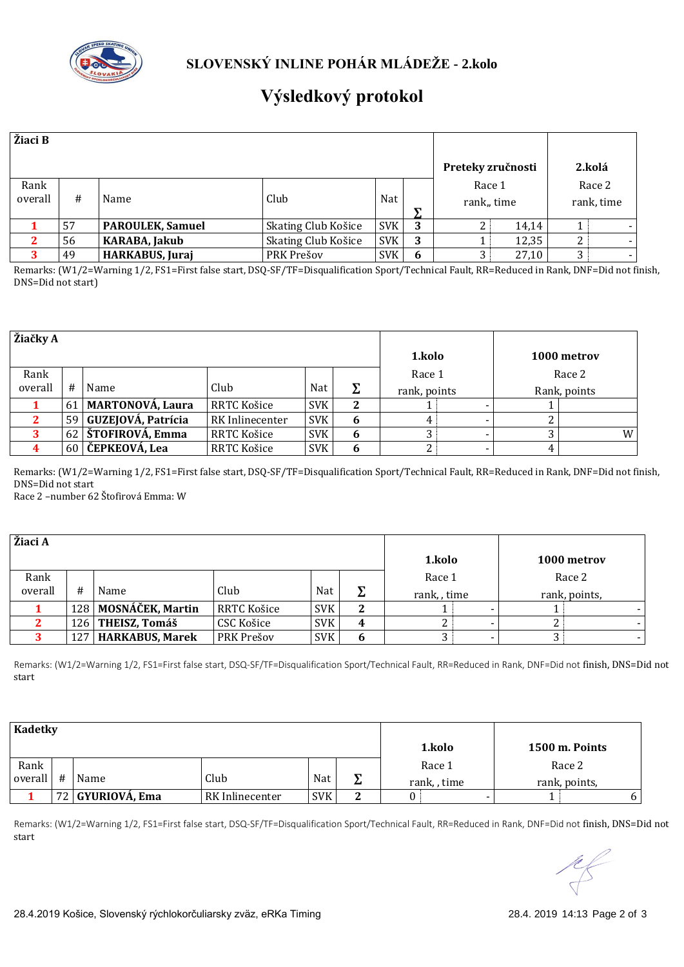

## **Výsledkový protokol**

| Žiaci B         |                               |                         |                     |            |   |                      |       |                      |
|-----------------|-------------------------------|-------------------------|---------------------|------------|---|----------------------|-------|----------------------|
|                 |                               |                         |                     |            |   | Preteky zručnosti    |       | 2.kolá               |
| Rank<br>overall | Nat<br>#<br>Club<br>Name<br>↽ |                         |                     |            |   | Race 1<br>rank, time |       | Race 2<br>rank, time |
|                 | 57                            | <b>PAROULEK, Samuel</b> | Skating Club Košice | <b>SVK</b> | 3 |                      | 14,14 |                      |
| $\mathbf{2}$    | 56                            | <b>KARABA, Jakub</b>    | Skating Club Košice | <b>SVK</b> | 3 |                      | 12,35 |                      |
|                 | 49                            | <b>HARKABUS, Juraj</b>  | PRK Prešov          | <b>SVK</b> | 6 |                      | 27,10 |                      |

Remarks: (W1/2=Warning 1/2, FS1=First false start, DSQ-SF/TF=Disqualification Sport/Technical Fault, RR=Reduced in Rank, DNF=Did not finish, DNS=Did not start)

| Žiačky A |    |                         |                 |            |   |              |  |              |             |
|----------|----|-------------------------|-----------------|------------|---|--------------|--|--------------|-------------|
|          |    |                         |                 |            |   | 1.kolo       |  |              | 1000 metrov |
| Rank     |    |                         |                 |            |   | Race 1       |  |              | Race 2      |
| overall  | #  | Name                    | Club            | Nat        | Σ | rank, points |  | Rank, points |             |
|          | 61 | <b>MARTONOVÁ, Laura</b> | RRTC Košice     | <b>SVK</b> | 2 |              |  |              |             |
|          | 59 | GUZEJOVÁ, Patrícia      | RK Inlinecenter | <b>SVK</b> | 6 | 4            |  |              |             |
|          |    | 62   ŠTOFIROVÁ, Emma    | RRTC Košice     | <b>SVK</b> | 6 |              |  |              | W           |
|          | 60 | ČEPKEOVÁ, Lea           | RRTC Košice     | <b>SVK</b> | n |              |  | 4            |             |

Remarks: (W1/2=Warning 1/2, FS1=First false start, DSQ-SF/TF=Disqualification Sport/Technical Fault, RR=Reduced in Rank, DNF=Did not finish, DNS=Did not start

Race 2 –number 62 Štofirová Emma: W

| Žiaci A |     |                      |             |            |   |            |               |
|---------|-----|----------------------|-------------|------------|---|------------|---------------|
|         |     |                      |             |            |   | 1.kolo     | 1000 metrov   |
| Rank    |     |                      |             |            |   | Race 1     | Race 2        |
| overall | #   | Name                 | Club        | Nat        | ᡪ | rank, time | rank, points, |
|         |     | 128 MOSNÁČEK, Martin | RRTC Košice | <b>SVK</b> |   |            |               |
|         |     | 126 THEISZ, Tomáš    | CSC Košice  | <b>SVK</b> | 4 |            |               |
|         | 127 | HARKABUS, Marek      | PRK Prešov  | <b>SVK</b> | o |            |               |

Remarks: (W1/2=Warning 1/2, FS1=First false start, DSQ-SF/TF=Disqualification Sport/Technical Fault, RR=Reduced in Rank, DNF=Did not finish, DNS=Did not start

| <b>Kadetky</b> |   |                  |                 |            |   |            |                |   |
|----------------|---|------------------|-----------------|------------|---|------------|----------------|---|
|                |   |                  |                 |            |   | 1.kolo     | 1500 m. Points |   |
| Rank           |   |                  |                 |            |   | Race 1     | Race 2         |   |
| overall        | # | Name             | Club            | Nat        | ᠊ | rank, time | rank, points,  |   |
|                |   | 72 GYURIOVÁ, Ema | RK Inlinecenter | <b>SVK</b> |   |            |                | 6 |

Remarks: (W1/2=Warning 1/2, FS1=First false start, DSQ-SF/TF=Disqualification Sport/Technical Fault, RR=Reduced in Rank, DNF=Did not finish, DNS=Did not start

 $\frac{1}{\sqrt{2}}$